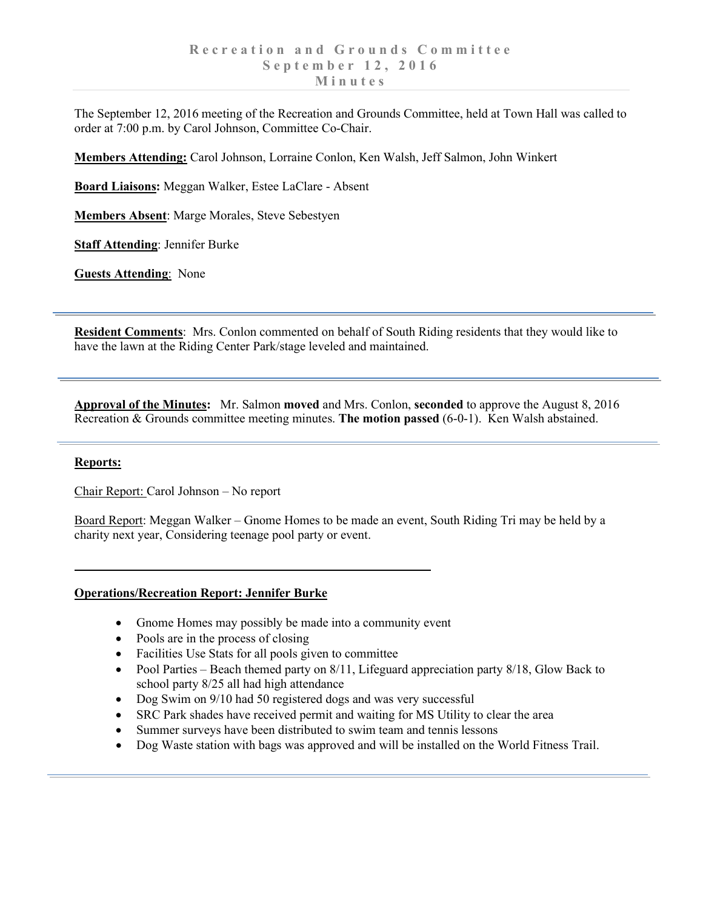The September 12, 2016 meeting of the Recreation and Grounds Committee, held at Town Hall was called to order at 7:00 p.m. by Carol Johnson, Committee Co-Chair.

**Members Attending:** Carol Johnson, Lorraine Conlon, Ken Walsh, Jeff Salmon, John Winkert

**Board Liaisons:** Meggan Walker, Estee LaClare - Absent

**Members Absent**: Marge Morales, Steve Sebestyen

**Staff Attending**: Jennifer Burke

**Guests Attending**: None

**Resident Comments**: Mrs. Conlon commented on behalf of South Riding residents that they would like to have the lawn at the Riding Center Park/stage leveled and maintained.

**Approval of the Minutes:** Mr. Salmon **moved** and Mrs. Conlon, **seconded** to approve the August 8, 2016 Recreation & Grounds committee meeting minutes. **The motion passed** (6-0-1). Ken Walsh abstained.

## **Reports:**

Chair Report: Carol Johnson – No report

Board Report: Meggan Walker – Gnome Homes to be made an event, South Riding Tri may be held by a charity next year, Considering teenage pool party or event.

## **Operations/Recreation Report: Jennifer Burke**

- Gnome Homes may possibly be made into a community event
- Pools are in the process of closing
- Facilities Use Stats for all pools given to committee
- Pool Parties Beach themed party on 8/11, Lifeguard appreciation party 8/18, Glow Back to school party 8/25 all had high attendance
- Dog Swim on 9/10 had 50 registered dogs and was very successful
- SRC Park shades have received permit and waiting for MS Utility to clear the area
- Summer surveys have been distributed to swim team and tennis lessons
- Dog Waste station with bags was approved and will be installed on the World Fitness Trail.